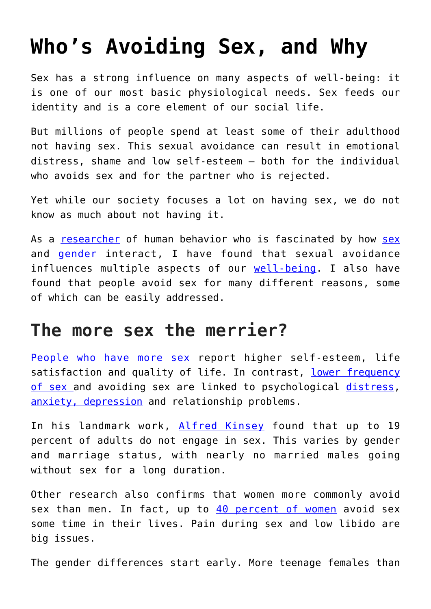# **[Who's Avoiding Sex, and Why](https://intellectualtakeout.org/2017/07/whos-avoiding-sex-and-why/)**

Sex has a strong influence on many aspects of well-being: it is one of our most basic physiological needs. Sex feeds our identity and is a core element of our social life.

But millions of people spend at least some of their adulthood not having sex. This sexual avoidance can result in emotional distress, shame and low self-esteem – both for the individual who avoids sex and for the partner who is rejected.

Yet while our society focuses a lot on having sex, we do not know as much about not having it.

As a [researcher](https://medicine.umich.edu/dept/psychiatry/shervin-assari-phd) of human behavior who is fascinated by how [sex](https://theconversation.com/why-men-and-women-lie-about-sex-and-how-this-complicates-std-control-74215) and [gender](https://theconversation.com/if-men-are-favored-in-our-society-why-do-they-die-younger-than-women-71527) interact, I have found that sexual avoidance influences multiple aspects of our [well-being.](https://www.ncbi.nlm.nih.gov/pubmed/24589191) I also have found that people avoid sex for many different reasons, some of which can be easily addressed.

#### **The more sex the merrier?**

[People who have more sex r](https://academic.oup.com/ageing/article/44/5/823/52185/Examining-associations-between-sexual-behaviours)eport higher self-esteem, life satisfaction and quality of life. In contrast, [lower frequency](https://www.ncbi.nlm.nih.gov/pmc/articles/PMC1557393/) [of sex a](https://www.ncbi.nlm.nih.gov/pmc/articles/PMC1557393/)nd avoiding sex are linked to psychological [distress,](http://www.tandfonline.com/doi/full/10.1080/00224499.2016.1269308) [anxiety, depression](http://centerforanxietydisorders.com/sex-avoidance-anxiety-disorders/) and relationship problems.

In his landmark work, [Alfred Kinsey](https://muse.jhu.edu/chapter/1638468) found that up to 19 percent of adults do not engage in sex. This varies by gender and marriage status, with nearly no married males going without sex for a long duration.

Other research also confirms that women more commonly avoid sex than men. In fact, up to  $40$  percent of women avoid sex some time in their lives. Pain during sex and low libido are big issues.

The gender differences start early. More teenage females than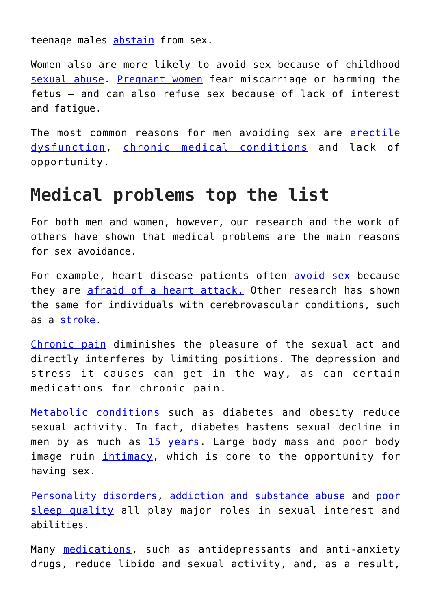teenage males [abstain](https://www.ncbi.nlm.nih.gov/pmc/articles/PMC2613342/) from sex.

Women also are more likely to avoid sex because of childhood [sexual abuse](http://journals.sagepub.com/doi/full/10.1177/1077559516656069). [Pregnant women](https://www.ncbi.nlm.nih.gov/pubmed/12521698) fear miscarriage or harming the fetus – and can also refuse sex because of lack of interest and fatigue.

The most common reasons for men avoiding sex are [erectile](https://www.ncbi.nlm.nih.gov/pmc/articles/PMC4291852/) [dysfunction](https://www.ncbi.nlm.nih.gov/pmc/articles/PMC4291852/), [chronic medical conditions](https://www.ncbi.nlm.nih.gov/pubmed/20092445) and lack of opportunity.

### **Medical problems top the list**

For both men and women, however, our research and the work of others have shown that medical problems are the main reasons for sex avoidance.

For example, heart disease patients often [avoid sex](https://www.ncbi.nlm.nih.gov/pubmed/24589191) because they are [afraid of a heart attack.](https://www.ncbi.nlm.nih.gov/pubmed/17970974) Other research has shown the same for individuals with cerebrovascular conditions, such as a [stroke.](http://stroke.ahajournals.org/content/30/4/715)

[Chronic pain](http://www.mayoclinic.org/chronic-pain/art-20044369) diminishes the pleasure of the sexual act and directly interferes by limiting positions. The depression and stress it causes can get in the way, as can certain medications for chronic pain.

[Metabolic conditions](https://www.ncbi.nlm.nih.gov/pubmed/28650864) such as diabetes and obesity reduce sexual activity. In fact, diabetes hastens sexual decline in men by as much as [15 years](https://www.niddk.nih.gov/health-information/diabetes/overview/preventing-problems/sexual-urologic-problems). Large body mass and poor body image ruin [intimacy](http://digitalcommons.fiu.edu/cgi/viewcontent.cgi?article=1072&context=etd), which is core to the opportunity for having sex.

[Personality disorders](http://people.virginia.edu/%7Eent3c/papers2/Articles%20for%20Online%20CV/South%20(2008).pdf), [addiction and substance abuse](http://www.sciencedirect.com/science/article/pii/S1743609515302447?via%3Dihub) and [poor](http://www.tandfonline.com/doi/abs/10.1080/0092623X.2015.1113591) [sleep quality](http://www.tandfonline.com/doi/abs/10.1080/0092623X.2015.1113591) all play major roles in sexual interest and abilities.

Many [medications](https://www.ncbi.nlm.nih.gov/pmc/articles/PMC3108697/), such as antidepressants and anti-anxiety drugs, reduce libido and sexual activity, and, as a result,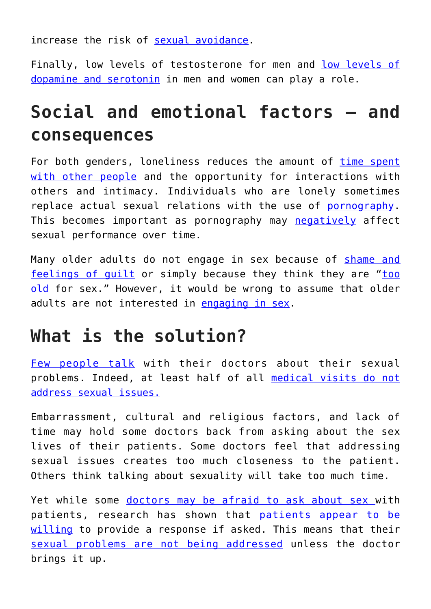increase the risk of [sexual avoidance](https://www.ncbi.nlm.nih.gov/pmc/articles/PMC3108697/#b6-dhps-2-141).

Finally, [low levels of](http://www.sciencedirect.com/science/article/pii/S0031938404003579) testosterone for men and low levels of [dopamine and serotonin](http://www.sciencedirect.com/science/article/pii/S0031938404003579) in men and women can play a role.

## **Social and emotional factors – and consequences**

For both genders, loneliness reduces the amount of [time spent](https://www.ncbi.nlm.nih.gov/pubmed/6631669) [with other people](https://www.ncbi.nlm.nih.gov/pubmed/6631669) and the opportunity for interactions with others and intimacy. Individuals who are lonely sometimes replace actual sexual relations with the use of [pornography.](https://www.ncbi.nlm.nih.gov/pubmed/28448246) This becomes important as pornography may [negatively](http://www.tandfonline.com/doi/abs/10.1080/00224499.2011.648027) affect sexual performance over time.

Many older adults do not engage in sex because of [shame and](https://www.ncbi.nlm.nih.gov/pmc/articles/PMC3267340/) [feelings of guilt](https://www.ncbi.nlm.nih.gov/pmc/articles/PMC3267340/) or simply because they think they are "[too](https://www.ncbi.nlm.nih.gov/pmc/articles/PMC3267340/) [old](https://www.ncbi.nlm.nih.gov/pmc/articles/PMC3267340/) for sex." However, it would be wrong to assume that older adults are not interested in [engaging in sex](http://www.apa.org/monitor/2012/12/later-life-sex.aspx).

### **What is the solution?**

[Few people talk](http://www.sciencedirect.com/science/article/pii/S1743609515339709?via%3Dihub) with their doctors about their sexual problems. Indeed, at least half of all [medical visits do not](https://www.ncbi.nlm.nih.gov/pmc/articles/PMC4657130/) [address sexual issues.](https://www.ncbi.nlm.nih.gov/pmc/articles/PMC4657130/)

Embarrassment, cultural and religious factors, and lack of time may hold some doctors back from asking about the sex lives of their patients. Some doctors feel that addressing sexual issues creates too much closeness to the patient. Others think talking about sexuality will take too much time.

Yet while some [doctors may be afraid to ask about sex w](https://www.ncbi.nlm.nih.gov/pubmed/19427142)ith patients, research has shown that [patients appear to be](https://dash.harvard.edu/handle/1/12987242) [willing](https://dash.harvard.edu/handle/1/12987242) to provide a response if asked. This means that their [sexual problems are not being addressed](https://www.ncbi.nlm.nih.gov/pubmed/23743660) unless the doctor brings it up.